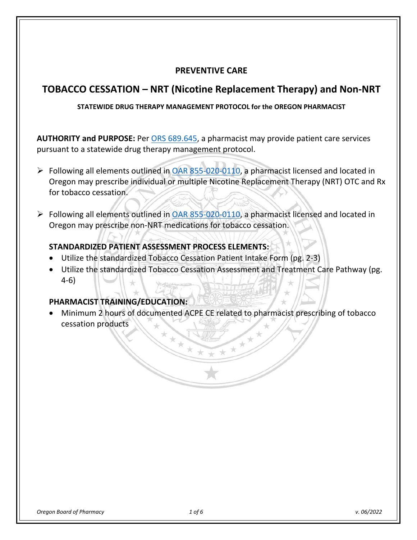### **PREVENTIVE CARE**

# **TOBACCO CESSATION – NRT (Nicotine Replacement Therapy) and Non-NRT**

### **STATEWIDE DRUG THERAPY MANAGEMENT PROTOCOL for the OREGON PHARMACIST**

**AUTHORITY and PURPOSE:** Per [ORS 689.645,](https://www.oregonlegislature.gov/bills_laws/ors/ors689.html) a pharmacist may provide patient care services pursuant to a statewide drug therapy management protocol.

- $\triangleright$  Following all elements outlined in [OAR 855-020-0110,](https://secure.sos.state.or.us/oard/viewSingleRule.action?ruleVrsnRsn=262657) a pharmacist licensed and located in Oregon may prescribe individual or multiple Nicotine Replacement Therapy (NRT) OTC and Rx for tobacco cessation.
- $\triangleright$  Following all elements outlined in [OAR 855-020-0110,](https://secure.sos.state.or.us/oard/viewSingleRule.action?ruleVrsnRsn=262657) a pharmacist licensed and located in Oregon may prescribe non-NRT medications for tobacco cessation.

## **STANDARDIZED PATIENT ASSESSMENT PROCESS ELEMENTS:**

- Utilize the standardized Tobacco Cessation Patient Intake Form (pg. 2-3)
- Utilize the standardized Tobacco Cessation Assessment and Treatment Care Pathway (pg. 4-6)

### **PHARMACIST TRAINING/EDUCATION:**

• Minimum 2 hours of documented ACPE CE related to pharmacist prescribing of tobacco cessation products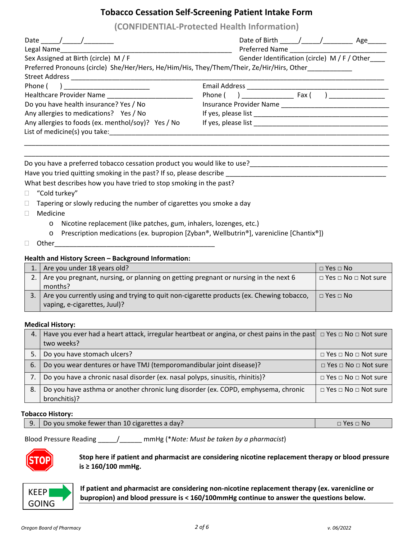### **Tobacco Cessation Self-Screening Patient Intake Form**

**(CONFIDENTIAL-Protected Health Information)**

| Date $\frac{1}{\sqrt{1-\frac{1}{2}}}\frac{1}{\sqrt{1-\frac{1}{2}}\sqrt{1-\frac{1}{2}}\sqrt{1-\frac{1}{2}}\sqrt{1-\frac{1}{2}}\sqrt{1-\frac{1}{2}}\sqrt{1-\frac{1}{2}}\sqrt{1-\frac{1}{2}}\sqrt{1-\frac{1}{2}}\sqrt{1-\frac{1}{2}}\sqrt{1-\frac{1}{2}}\sqrt{1-\frac{1}{2}}\sqrt{1-\frac{1}{2}}\sqrt{1-\frac{1}{2}}\sqrt{1-\frac{1}{2}}\sqrt{1-\frac{1}{2}}\sqrt{1-\frac{1}{2}}\sqrt{1-\frac{1}{2}}\sqrt{1-\frac{$ |                                              |
|------------------------------------------------------------------------------------------------------------------------------------------------------------------------------------------------------------------------------------------------------------------------------------------------------------------------------------------------------------------------------------------------------------------|----------------------------------------------|
| Legal Name and the state of the state of the state of the state of the state of the state of the state of the s                                                                                                                                                                                                                                                                                                  | Preferred Name                               |
| Sex Assigned at Birth (circle) M / F                                                                                                                                                                                                                                                                                                                                                                             | Gender Identification (circle) M / F / Other |
| Preferred Pronouns (circle) She/Her/Hers, He/Him/His, They/Them/Their, Ze/Hir/Hirs, Other                                                                                                                                                                                                                                                                                                                        |                                              |
|                                                                                                                                                                                                                                                                                                                                                                                                                  |                                              |
| Phone (<br><u> 1990 - Johann John Harry Harry Harry Harry Harry Harry Harry Harry Harry Harry Harry Harry Harry Harry Harry H</u>                                                                                                                                                                                                                                                                                |                                              |
| Healthcare Provider Name                                                                                                                                                                                                                                                                                                                                                                                         |                                              |
| Do you have health insurance? Yes / No                                                                                                                                                                                                                                                                                                                                                                           |                                              |
| Any allergies to medications? Yes / No                                                                                                                                                                                                                                                                                                                                                                           |                                              |
| Any allergies to foods (ex. menthol/soy)? Yes / No                                                                                                                                                                                                                                                                                                                                                               |                                              |
| List of medicine(s) you take:                                                                                                                                                                                                                                                                                                                                                                                    |                                              |
|                                                                                                                                                                                                                                                                                                                                                                                                                  |                                              |
|                                                                                                                                                                                                                                                                                                                                                                                                                  |                                              |
| Do you have a preferred tobacco cessation product you would like to use?                                                                                                                                                                                                                                                                                                                                         |                                              |
| Have you tried quitting smoking in the past? If so, please describe                                                                                                                                                                                                                                                                                                                                              |                                              |

What best describes how you have tried to stop smoking in the past?

- "Cold turkey"
- $\Box$  Tapering or slowly reducing the number of cigarettes you smoke a day
- Medicine
	- o Nicotine replacement (like patches, gum, inhalers, lozenges, etc.)
	- o Prescription medications (ex. bupropion [Zyban®, Wellbutrin®], varenicline [Chantix®])
- $\Box$  Other

### **Health and History Screen – Background Information:**

| 1. Are you under 18 years old?                                                                                          | $\Box$ Yes $\Box$ No  |
|-------------------------------------------------------------------------------------------------------------------------|-----------------------|
| 2. Are you pregnant, nursing, or planning on getting pregnant or nursing in the next 6                                  | □ Yes □ No □ Not sure |
| months?                                                                                                                 |                       |
| Are you currently using and trying to quit non-cigarette products (ex. Chewing tobacco,<br>vaping, e-cigarettes, Juul)? | $\Box$ Yes $\Box$ No  |

#### **Medical History:**

| 4.  | Have you ever had a heart attack, irregular heartbeat or angina, or chest pains in the past $\Box$ Yes $\Box$ No $\Box$ Not sure<br>two weeks? |                                      |
|-----|------------------------------------------------------------------------------------------------------------------------------------------------|--------------------------------------|
|     | Do you have stomach ulcers?                                                                                                                    | $\Box$ Yes $\Box$ No $\Box$ Not sure |
| 6.  | Do you wear dentures or have TMJ (temporomandibular joint disease)?                                                                            | $\Box$ Yes $\Box$ No $\Box$ Not sure |
|     | Do you have a chronic nasal disorder (ex. nasal polyps, sinusitis, rhinitis)?                                                                  | $\Box$ Yes $\Box$ No $\Box$ Not sure |
| -8. | Do you have asthma or another chronic lung disorder (ex. COPD, emphysema, chronic                                                              | $\Box$ Yes $\Box$ No $\Box$ Not sure |
|     | bronchitis)?                                                                                                                                   |                                      |

#### **Tobacco History:**

Blood Pressure Reading \_\_\_\_\_/\_\_\_\_\_\_ mmHg (\**Note: Must be taken by a pharmacist*)



**Stop here if patient and pharmacist are considering nicotine replacement therapy or blood pressure is ≥ 160/100 mmHg.** 



**If patient and pharmacist are considering non-nicotine replacement therapy (ex. varenicline or bupropion) and blood pressure is < 160/100mmHg continue to answer the questions below.**<br> **bupropion) and blood pressure is < 160/100mmHg continue to answer the questions below.**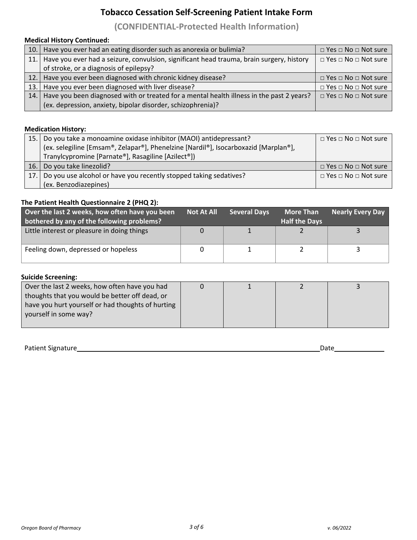# **Tobacco Cessation Self-Screening Patient Intake Form**

## **(CONFIDENTIAL-Protected Health Information)**

### **Medical History Continued:**

|      | 10. Have you ever had an eating disorder such as anorexia or bulimia?                        | $\Box$ Yes $\Box$ No $\Box$ Not sure |
|------|----------------------------------------------------------------------------------------------|--------------------------------------|
|      | 11. Have you ever had a seizure, convulsion, significant head trauma, brain surgery, history | $\Box$ Yes $\Box$ No $\Box$ Not sure |
|      | of stroke, or a diagnosis of epilepsy?                                                       |                                      |
|      | 12. Have you ever been diagnosed with chronic kidney disease?                                | $\Box$ Yes $\Box$ No $\Box$ Not sure |
|      | 13. Have you ever been diagnosed with liver disease?                                         | $\Box$ Yes $\Box$ No $\Box$ Not sure |
| 14.1 | Have you been diagnosed with or treated for a mental health illness in the past 2 years?     | $\Box$ Yes $\Box$ No $\Box$ Not sure |
|      | (ex. depression, anxiety, bipolar disorder, schizophrenia)?                                  |                                      |

#### **Medication History:**

| 15.1 | Do you take a monoamine oxidase inhibitor (MAOI) antidepressant?                    | $\Box$ Yes $\Box$ No $\Box$ Not sure |
|------|-------------------------------------------------------------------------------------|--------------------------------------|
|      | (ex. selegiline [Emsam®, Zelapar®], Phenelzine [Nardil®], Isocarboxazid [Marplan®], |                                      |
|      | Tranylcypromine [Parnate®], Rasagiline [Azilect®])                                  |                                      |
| 16.  | Do you take linezolid?                                                              | $\Box$ Yes $\Box$ No $\Box$ Not sure |
| 17.1 | Do you use alcohol or have you recently stopped taking sedatives?                   | D Yes □ No □ Not sure                |
|      | (ex. Benzodiazepines)                                                               |                                      |

### **The Patient Health Questionnaire 2 (PHQ 2):**

| Over the last 2 weeks, how often have you been<br>bothered by any of the following problems? | <b>Not At All</b> | <b>Several Days</b> | <b>More Than</b><br><b>Half the Days</b> | <b>Nearly Every Day</b> |
|----------------------------------------------------------------------------------------------|-------------------|---------------------|------------------------------------------|-------------------------|
| Little interest or pleasure in doing things                                                  |                   |                     |                                          |                         |
| Feeling down, depressed or hopeless                                                          |                   |                     |                                          |                         |

#### **Suicide Screening:**

| Over the last 2 weeks, how often have you had     |  |  |
|---------------------------------------------------|--|--|
| thoughts that you would be better off dead, or    |  |  |
| have you hurt yourself or had thoughts of hurting |  |  |
| yourself in some way?                             |  |  |
|                                                   |  |  |

Patient Signature Date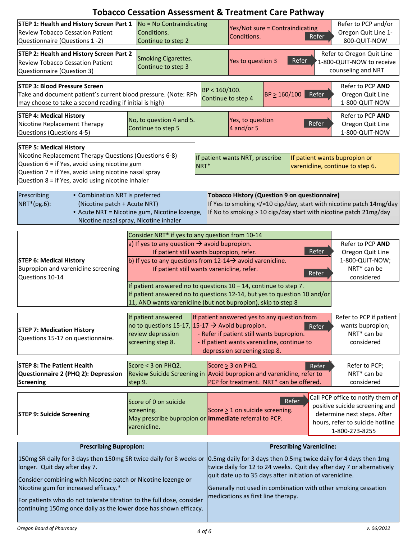|                                                                                                                                                                                                                                                         | <b>Tobacco Cessation Assessment &amp; Treatment Care Pathway</b>                                                                                                                                                                                                                                                                                       |                                     |                                      |                                                                                                                                          |                |                                                                                                                                                         |
|---------------------------------------------------------------------------------------------------------------------------------------------------------------------------------------------------------------------------------------------------------|--------------------------------------------------------------------------------------------------------------------------------------------------------------------------------------------------------------------------------------------------------------------------------------------------------------------------------------------------------|-------------------------------------|--------------------------------------|------------------------------------------------------------------------------------------------------------------------------------------|----------------|---------------------------------------------------------------------------------------------------------------------------------------------------------|
| STEP 1: Health and History Screen Part 1<br><b>Review Tobacco Cessation Patient</b><br>Questionnaire (Questions 1 -2)                                                                                                                                   | No = No Contraindicating<br>Conditions.<br>Continue to step 2                                                                                                                                                                                                                                                                                          |                                     | Conditions.                          | Yes/Not sure = Contraindicating                                                                                                          | Refer          | Refer to PCP and/or<br>Oregon Quit Line 1-<br>800-QUIT-NOW                                                                                              |
| <b>STEP 2: Health and History Screen Part 2</b><br><b>Review Tobacco Cessation Patient</b><br>Questionnaire (Question 3)                                                                                                                                | <b>Smoking Cigarettes.</b><br>Continue to step 3                                                                                                                                                                                                                                                                                                       |                                     | Yes to question 3                    | Refer                                                                                                                                    |                | Refer to Oregon Quit Line<br>1-800-QUIT-NOW to receive<br>counseling and NRT                                                                            |
| <b>STEP 3: Blood Pressure Screen</b><br>Take and document patient's current blood pressure. (Note: RPh<br>may choose to take a second reading if initial is high)                                                                                       |                                                                                                                                                                                                                                                                                                                                                        | BP < 160/100.<br>Continue to step 4 |                                      | $BP \ge 160/100$                                                                                                                         | Refer          | Refer to PCP AND<br>Oregon Quit Line<br>1-800-QUIT-NOW                                                                                                  |
| <b>STEP 4: Medical History</b><br>Nicotine Replacement Therapy<br>Questions (Questions 4-5)                                                                                                                                                             | No, to question 4 and 5.<br>Continue to step 5                                                                                                                                                                                                                                                                                                         |                                     | Yes, to question<br>$4$ and/or 5     |                                                                                                                                          | Refer          | Refer to PCP AND<br>Oregon Quit Line<br>1-800-QUIT-NOW                                                                                                  |
| <b>STEP 5: Medical History</b><br>Nicotine Replacement Therapy Questions (Questions 6-8)<br>Question 6 = if Yes, avoid using nicotine gum<br>Question 7 = if Yes, avoid using nicotine nasal spray<br>Question 8 = if Yes, avoid using nicotine inhaler | NRT*                                                                                                                                                                                                                                                                                                                                                   |                                     | If patient wants NRT, prescribe      |                                                                                                                                          |                | If patient wants bupropion or<br>varenicline, continue to step 6.                                                                                       |
| • Combination NRT is preferred<br>Prescribing<br>NRT*(pg.6):<br>(Nicotine patch + Acute NRT)                                                                                                                                                            | • Acute NRT = Nicotine gum, Nicotine lozenge,<br>Nicotine nasal spray, Nicotine inhaler                                                                                                                                                                                                                                                                |                                     |                                      | <b>Tobacco History (Question 9 on questionnaire)</b>                                                                                     |                | If Yes to smoking =10 cigs/day, start with nicotine patch 14mg/day<br If No to smoking > 10 cigs/day start with nicotine patch 21mg/day                 |
| <b>STEP 6: Medical History</b><br>Bupropion and varenicline screening<br>Questions 10-14                                                                                                                                                                | Consider NRT* if yes to any question from 10-14<br>a) If yes to any question $\rightarrow$ avoid bupropion.<br>If patient still wants bupropion, refer.<br>b) If yes to any questions from 12-14 $\rightarrow$ avoid varenicline.<br>If patient still wants varenicline, refer.<br>If patient answered no to questions $10 - 14$ , continue to step 7. |                                     |                                      |                                                                                                                                          | Refer<br>Refer | Refer to PCP AND<br>Oregon Quit Line<br>1-800-QUIT-NOW;<br>NRT* can be<br>considered                                                                    |
|                                                                                                                                                                                                                                                         | If patient answered no to questions 12-14, but yes to question 10 and/or<br>11, AND wants varenicline (but not bupropion), skip to step 8                                                                                                                                                                                                              |                                     |                                      |                                                                                                                                          |                |                                                                                                                                                         |
| <b>STEP 7: Medication History</b><br>Questions 15-17 on questionnaire.                                                                                                                                                                                  | If patient answered<br>no to questions 15-17, 15-17 $\rightarrow$ Avoid bupropion.<br>review depression<br>screening step 8.                                                                                                                                                                                                                           |                                     | depression screening step 8.         | If patient answered yes to any question from<br>- Refer if patient still wants bupropion.<br>- If patient wants varenicline, continue to | Refer          | Refer to PCP if patient<br>wants bupropion;<br>NRT* can be<br>considered                                                                                |
| <b>STEP 8: The Patient Health</b><br>Questionnaire 2 (PHQ 2): Depression<br>Screening                                                                                                                                                                   | Score < 3 on PHQ2.<br>Review Suicide Screening in Avoid bupropion and varenicline, refer to<br>step 9.                                                                                                                                                                                                                                                 |                                     | Score $\geq$ 3 on PHQ.               | PCP for treatment. NRT* can be offered.                                                                                                  | Refer          | Refer to PCP;<br>NRT* can be<br>considered                                                                                                              |
| <b>STEP 9: Suicide Screening</b>                                                                                                                                                                                                                        | Score of 0 on suicide<br>screening.<br>May prescribe bupropion or <b>Immediate</b> referral to PCP.<br>varenicline.                                                                                                                                                                                                                                    |                                     | Score $\geq 1$ on suicide screening. | Refer                                                                                                                                    |                | Call PCP office to notify them of<br>positive suicide screening and<br>determine next steps. After<br>hours, refer to suicide hotline<br>1-800-273-8255 |
| <b>Prescribing Bupropion:</b>                                                                                                                                                                                                                           |                                                                                                                                                                                                                                                                                                                                                        |                                     |                                      | <b>Prescribing Varenicline:</b>                                                                                                          |                |                                                                                                                                                         |
| 150mg SR daily for 3 days then 150mg SR twice daily for 8 weeks or 0.5mg daily for 3 days then 0.5mg twice daily for 4 days then 1mg<br>longer. Quit day after day 7.<br>Consider combining with Nicotine patch or Nicotine lozenge or                  |                                                                                                                                                                                                                                                                                                                                                        |                                     |                                      | quit date up to 35 days after initiation of varenicline.                                                                                 |                | twice daily for 12 to 24 weeks. Quit day after day 7 or alternatively                                                                                   |
| Nicotine gum for increased efficacy.*<br>For patients who do not tolerate titration to the full dose, consider<br>continuing 150mg once daily as the lower dose has shown efficacy.                                                                     |                                                                                                                                                                                                                                                                                                                                                        |                                     | medications as first line therapy.   |                                                                                                                                          |                | Generally not used in combination with other smoking cessation                                                                                          |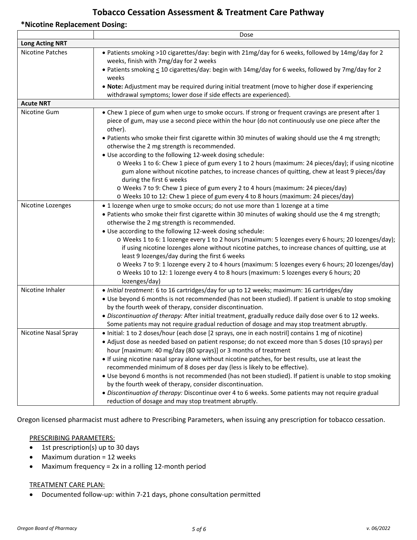## **Tobacco Cessation Assessment & Treatment Care Pathway**

#### **\*Nicotine Replacement Dosing:**

|                         | Dose                                                                                                                                                                                                                              |
|-------------------------|-----------------------------------------------------------------------------------------------------------------------------------------------------------------------------------------------------------------------------------|
| <b>Long Acting NRT</b>  |                                                                                                                                                                                                                                   |
| <b>Nicotine Patches</b> | • Patients smoking >10 cigarettes/day: begin with 21mg/day for 6 weeks, followed by 14mg/day for 2<br>weeks, finish with 7mg/day for 2 weeks                                                                                      |
|                         | • Patients smoking < 10 cigarettes/day: begin with 14mg/day for 6 weeks, followed by 7mg/day for 2<br>weeks                                                                                                                       |
|                         | . Note: Adjustment may be required during initial treatment (move to higher dose if experiencing<br>withdrawal symptoms; lower dose if side effects are experienced).                                                             |
| <b>Acute NRT</b>        |                                                                                                                                                                                                                                   |
| Nicotine Gum            | • Chew 1 piece of gum when urge to smoke occurs. If strong or frequent cravings are present after 1<br>piece of gum, may use a second piece within the hour (do not continuously use one piece after the<br>other).               |
|                         | . Patients who smoke their first cigarette within 30 minutes of waking should use the 4 mg strength;<br>otherwise the 2 mg strength is recommended.                                                                               |
|                         | . Use according to the following 12-week dosing schedule:                                                                                                                                                                         |
|                         | o Weeks 1 to 6: Chew 1 piece of gum every 1 to 2 hours (maximum: 24 pieces/day); if using nicotine<br>gum alone without nicotine patches, to increase chances of quitting, chew at least 9 pieces/day<br>during the first 6 weeks |
|                         | o Weeks 7 to 9: Chew 1 piece of gum every 2 to 4 hours (maximum: 24 pieces/day)                                                                                                                                                   |
|                         | o Weeks 10 to 12: Chew 1 piece of gum every 4 to 8 hours (maximum: 24 pieces/day)                                                                                                                                                 |
| Nicotine Lozenges       | • 1 lozenge when urge to smoke occurs; do not use more than 1 lozenge at a time                                                                                                                                                   |
|                         | . Patients who smoke their first cigarette within 30 minutes of waking should use the 4 mg strength;                                                                                                                              |
|                         | otherwise the 2 mg strength is recommended.                                                                                                                                                                                       |
|                         | . Use according to the following 12-week dosing schedule:                                                                                                                                                                         |
|                         | o Weeks 1 to 6: 1 lozenge every 1 to 2 hours (maximum: 5 lozenges every 6 hours; 20 lozenges/day);                                                                                                                                |
|                         | if using nicotine lozenges alone without nicotine patches, to increase chances of quitting, use at                                                                                                                                |
|                         | least 9 lozenges/day during the first 6 weeks                                                                                                                                                                                     |
|                         | o Weeks 7 to 9: 1 lozenge every 2 to 4 hours (maximum: 5 lozenges every 6 hours; 20 lozenges/day)                                                                                                                                 |
|                         | o Weeks 10 to 12: 1 lozenge every 4 to 8 hours (maximum: 5 lozenges every 6 hours; 20                                                                                                                                             |
|                         | lozenges/day)                                                                                                                                                                                                                     |
| Nicotine Inhaler        | · Initial treatment: 6 to 16 cartridges/day for up to 12 weeks; maximum: 16 cartridges/day                                                                                                                                        |
|                         | • Use beyond 6 months is not recommended (has not been studied). If patient is unable to stop smoking                                                                                                                             |
|                         | by the fourth week of therapy, consider discontinuation.                                                                                                                                                                          |
|                         | . Discontinuation of therapy: After initial treatment, gradually reduce daily dose over 6 to 12 weeks.                                                                                                                            |
|                         | Some patients may not require gradual reduction of dosage and may stop treatment abruptly.                                                                                                                                        |
| Nicotine Nasal Spray    | • Initial: 1 to 2 doses/hour (each dose [2 sprays, one in each nostril] contains 1 mg of nicotine)                                                                                                                                |
|                         | • Adjust dose as needed based on patient response; do not exceed more than 5 doses (10 sprays) per                                                                                                                                |
|                         | hour [maximum: 40 mg/day (80 sprays)] or 3 months of treatment                                                                                                                                                                    |
|                         | • If using nicotine nasal spray alone without nicotine patches, for best results, use at least the                                                                                                                                |
|                         | recommended minimum of 8 doses per day (less is likely to be effective).                                                                                                                                                          |
|                         | • Use beyond 6 months is not recommended (has not been studied). If patient is unable to stop smoking                                                                                                                             |
|                         | by the fourth week of therapy, consider discontinuation.                                                                                                                                                                          |
|                         | . Discontinuation of therapy: Discontinue over 4 to 6 weeks. Some patients may not require gradual                                                                                                                                |
|                         | reduction of dosage and may stop treatment abruptly.                                                                                                                                                                              |

Oregon licensed pharmacist must adhere to Prescribing Parameters, when issuing any prescription for tobacco cessation.

### PRESCRIBING PARAMETERS:

- 1st prescription(s) up to 30 days
- Maximum duration = 12 weeks
- Maximum frequency = 2x in a rolling 12-month period

#### TREATMENT CARE PLAN:

• Documented follow-up: within 7-21 days, phone consultation permitted